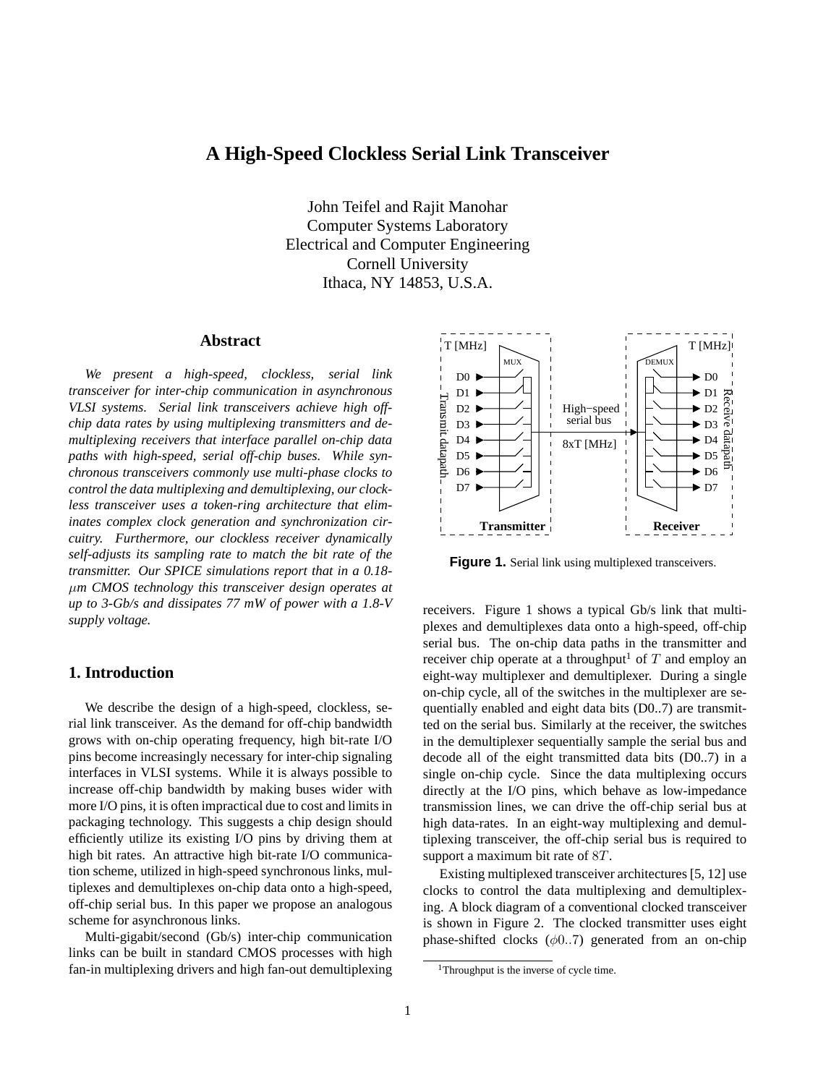# **A High-Speed Clockless Serial Link Transceiver**

John Teifel and Rajit Manohar Computer Systems Laboratory Electrical and Computer Engineering Cornell University Ithaca, NY 14853, U.S.A.

### **Abstract**

*We present a high-speed, clockless, serial link transceiver for inter-chip communication in asynchronous VLSI systems. Serial link transceivers achieve high offchip data rates by using multiplexing transmitters and demultiplexing receivers that interface parallel on-chip data paths with high-speed, serial off-chip buses. While synchronous transceivers commonly use multi-phase clocks to control the data multiplexing and demultiplexing, our clockless transceiver uses a token-ring architecture that eliminates complex clock generation and synchronization circuitry. Furthermore, our clockless receiver dynamically self-adjusts its sampling rate to match the bit rate of the transmitter. Our SPICE simulations report that in a 0.18* µ*m CMOS technology this transceiver design operates at up to 3-Gb/s and dissipates 77 mW of power with a 1.8-V supply voltage.*

## **1. Introduction**

We describe the design of a high-speed, clockless, serial link transceiver. As the demand for off-chip bandwidth grows with on-chip operating frequency, high bit-rate I/O pins become increasingly necessary for inter-chip signaling interfaces in VLSI systems. While it is always possible to increase off-chip bandwidth by making buses wider with more I/O pins, it is often impractical due to cost and limits in packaging technology. This suggests a chip design should efficiently utilize its existing I/O pins by driving them at high bit rates. An attractive high bit-rate I/O communication scheme, utilized in high-speed synchronous links, multiplexes and demultiplexes on-chip data onto a high-speed, off-chip serial bus. In this paper we propose an analogous scheme for asynchronous links.

Multi-gigabit/second (Gb/s) inter-chip communication links can be built in standard CMOS processes with high fan-in multiplexing drivers and high fan-out demultiplexing



Figure 1. Serial link using multiplexed transceivers.

receivers. Figure 1 shows a typical Gb/s link that multiplexes and demultiplexes data onto a high-speed, off-chip serial bus. The on-chip data paths in the transmitter and receiver chip operate at a throughput<sup>1</sup> of T and employ an eight-way multiplexer and demultiplexer. During a single on-chip cycle, all of the switches in the multiplexer are sequentially enabled and eight data bits (D0..7) are transmitted on the serial bus. Similarly at the receiver, the switches in the demultiplexer sequentially sample the serial bus and decode all of the eight transmitted data bits (D0..7) in a single on-chip cycle. Since the data multiplexing occurs directly at the I/O pins, which behave as low-impedance transmission lines, we can drive the off-chip serial bus at high data-rates. In an eight-way multiplexing and demultiplexing transceiver, the off-chip serial bus is required to support a maximum bit rate of 8T.

Existing multiplexed transceiver architectures [5, 12] use clocks to control the data multiplexing and demultiplexing. A block diagram of a conventional clocked transceiver is shown in Figure 2. The clocked transmitter uses eight phase-shifted clocks  $(\phi 0..7)$  generated from an on-chip

<sup>&</sup>lt;sup>1</sup>Throughput is the inverse of cycle time.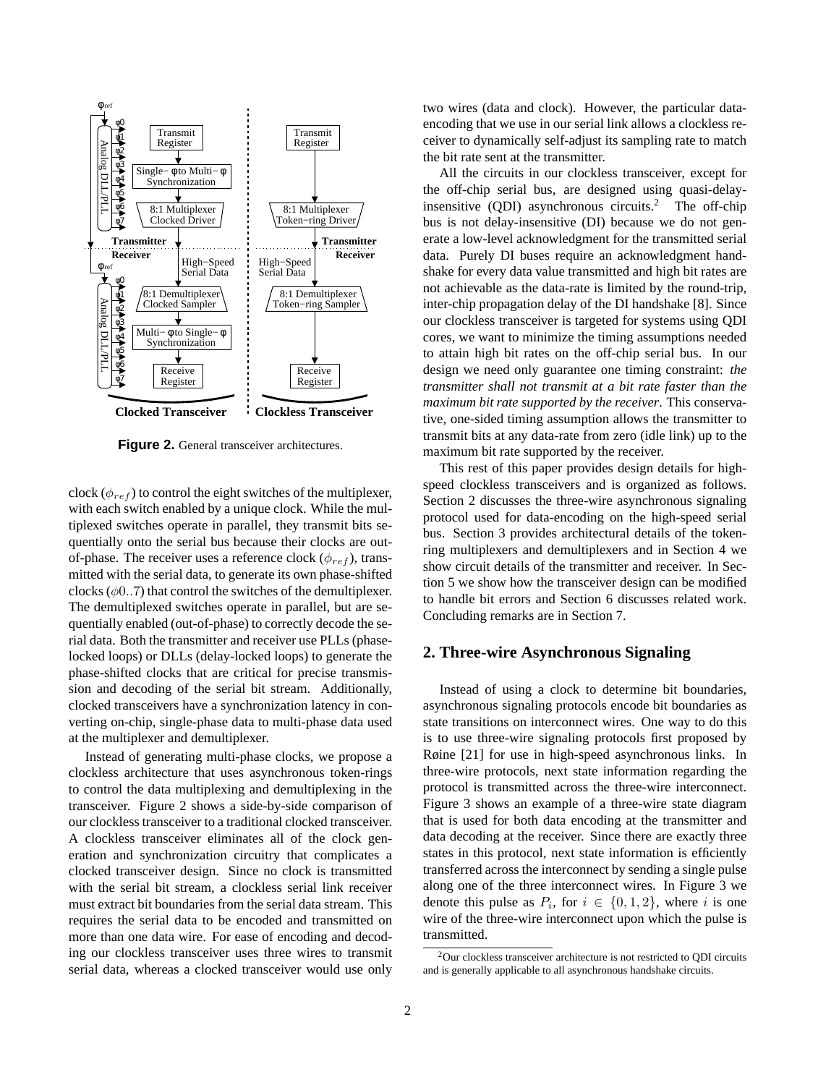

**Figure 2.** General transceiver architectures.

clock ( $\phi_{ref}$ ) to control the eight switches of the multiplexer, with each switch enabled by a unique clock. While the multiplexed switches operate in parallel, they transmit bits sequentially onto the serial bus because their clocks are outof-phase. The receiver uses a reference clock ( $\phi_{ref}$ ), transmitted with the serial data, to generate its own phase-shifted clocks ( $\phi$ 0..7) that control the switches of the demultiplexer. The demultiplexed switches operate in parallel, but are sequentially enabled (out-of-phase) to correctly decode the serial data. Both the transmitter and receiver use PLLs (phaselocked loops) or DLLs (delay-locked loops) to generate the phase-shifted clocks that are critical for precise transmission and decoding of the serial bit stream. Additionally, clocked transceivers have a synchronization latency in converting on-chip, single-phase data to multi-phase data used at the multiplexer and demultiplexer.

Instead of generating multi-phase clocks, we propose a clockless architecture that uses asynchronous token-rings to control the data multiplexing and demultiplexing in the transceiver. Figure 2 shows a side-by-side comparison of our clockless transceiver to a traditional clocked transceiver. A clockless transceiver eliminates all of the clock generation and synchronization circuitry that complicates a clocked transceiver design. Since no clock is transmitted with the serial bit stream, a clockless serial link receiver must extract bit boundaries from the serial data stream. This requires the serial data to be encoded and transmitted on more than one data wire. For ease of encoding and decoding our clockless transceiver uses three wires to transmit serial data, whereas a clocked transceiver would use only

two wires (data and clock). However, the particular dataencoding that we use in our serial link allows a clockless receiver to dynamically self-adjust its sampling rate to match the bit rate sent at the transmitter.

All the circuits in our clockless transceiver, except for the off-chip serial bus, are designed using quasi-delayinsensitive (QDI) asynchronous circuits.<sup>2</sup> The off-chip bus is not delay-insensitive (DI) because we do not generate a low-level acknowledgment for the transmitted serial data. Purely DI buses require an acknowledgment handshake for every data value transmitted and high bit rates are not achievable as the data-rate is limited by the round-trip, inter-chip propagation delay of the DI handshake [8]. Since our clockless transceiver is targeted for systems using QDI cores, we want to minimize the timing assumptions needed to attain high bit rates on the off-chip serial bus. In our design we need only guarantee one timing constraint: *the transmitter shall not transmit at a bit rate faster than the maximum bit rate supported by the receiver*. This conservative, one-sided timing assumption allows the transmitter to transmit bits at any data-rate from zero (idle link) up to the maximum bit rate supported by the receiver.

This rest of this paper provides design details for highspeed clockless transceivers and is organized as follows. Section 2 discusses the three-wire asynchronous signaling protocol used for data-encoding on the high-speed serial bus. Section 3 provides architectural details of the tokenring multiplexers and demultiplexers and in Section 4 we show circuit details of the transmitter and receiver. In Section 5 we show how the transceiver design can be modified to handle bit errors and Section 6 discusses related work. Concluding remarks are in Section 7.

## **2. Three-wire Asynchronous Signaling**

Instead of using a clock to determine bit boundaries, asynchronous signaling protocols encode bit boundaries as state transitions on interconnect wires. One way to do this is to use three-wire signaling protocols first proposed by Røine [21] for use in high-speed asynchronous links. In three-wire protocols, next state information regarding the protocol is transmitted across the three-wire interconnect. Figure 3 shows an example of a three-wire state diagram that is used for both data encoding at the transmitter and data decoding at the receiver. Since there are exactly three states in this protocol, next state information is efficiently transferred across the interconnect by sending a single pulse along one of the three interconnect wires. In Figure 3 we denote this pulse as  $P_i$ , for  $i \in \{0, 1, 2\}$ , where i is one wire of the three-wire interconnect upon which the pulse is transmitted.

<sup>&</sup>lt;sup>2</sup>Our clockless transceiver architecture is not restricted to QDI circuits and is generally applicable to all asynchronous handshake circuits.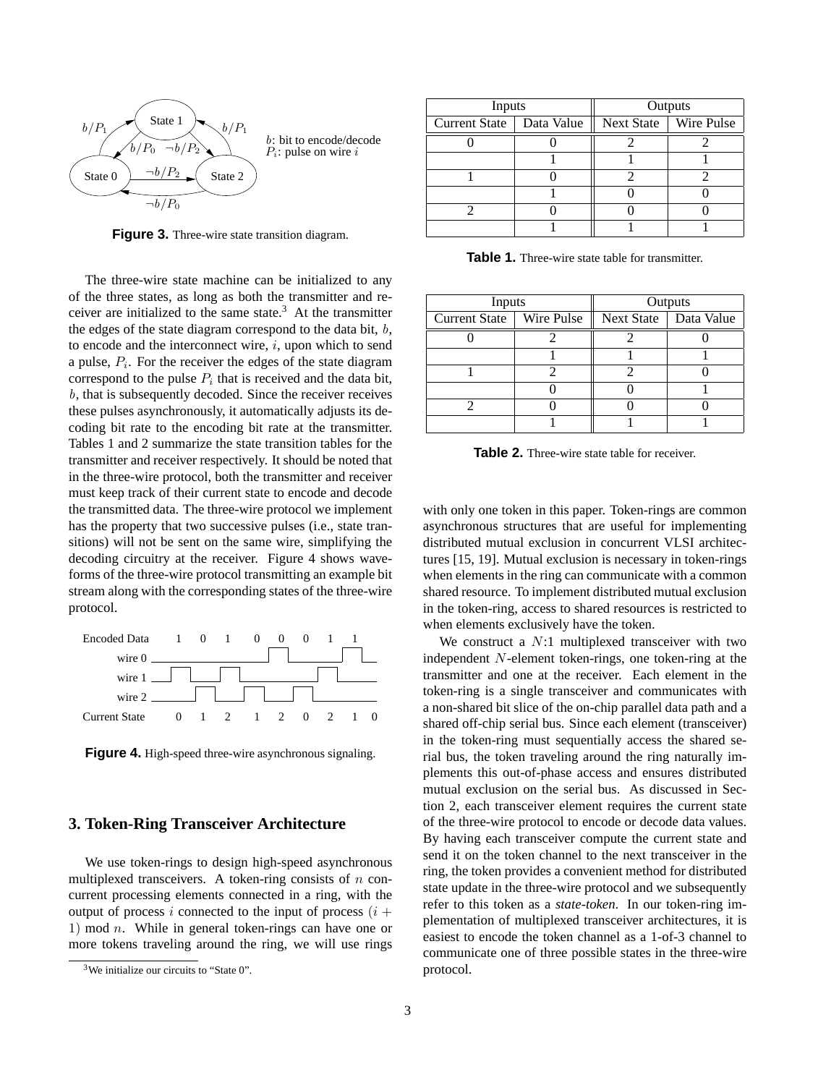

**Figure 3.** Three-wire state transition diagram.

The three-wire state machine can be initialized to any of the three states, as long as both the transmitter and receiver are initialized to the same state. $3$  At the transmitter the edges of the state diagram correspond to the data bit,  $b$ , to encode and the interconnect wire,  $i$ , upon which to send a pulse,  $P_i$ . For the receiver the edges of the state diagram correspond to the pulse  $P_i$  that is received and the data bit, b, that is subsequently decoded. Since the receiver receives these pulses asynchronously, it automatically adjusts its decoding bit rate to the encoding bit rate at the transmitter. Tables 1 and 2 summarize the state transition tables for the transmitter and receiver respectively. It should be noted that in the three-wire protocol, both the transmitter and receiver must keep track of their current state to encode and decode the transmitted data. The three-wire protocol we implement has the property that two successive pulses (i.e., state transitions) will not be sent on the same wire, simplifying the decoding circuitry at the receiver. Figure 4 shows waveforms of the three-wire protocol transmitting an example bit stream along with the corresponding states of the three-wire protocol.



Figure 4. High-speed three-wire asynchronous signaling.

## **3. Token-Ring Transceiver Architecture**

We use token-rings to design high-speed asynchronous multiplexed transceivers. A token-ring consists of  $n$  concurrent processing elements connected in a ring, with the output of process i connected to the input of process  $(i +$ 1) mod *n*. While in general token-rings can have one or more tokens traveling around the ring, we will use rings

| Inputs               |            | Outputs |                         |  |
|----------------------|------------|---------|-------------------------|--|
| <b>Current State</b> | Data Value |         | Next State   Wire Pulse |  |
|                      |            |         |                         |  |
|                      |            |         |                         |  |
|                      |            |         |                         |  |
|                      |            |         |                         |  |
|                      |            |         |                         |  |
|                      |            |         |                         |  |

**Table 1.** Three-wire state table for transmitter.

| Inputs               |            | Outputs |                         |  |
|----------------------|------------|---------|-------------------------|--|
| <b>Current State</b> | Wire Pulse |         | Next State   Data Value |  |
|                      |            |         |                         |  |
|                      |            |         |                         |  |
|                      |            |         |                         |  |
|                      |            |         |                         |  |
|                      |            |         |                         |  |
|                      |            |         |                         |  |

**Table 2.** Three-wire state table for receiver.

with only one token in this paper. Token-rings are common asynchronous structures that are useful for implementing distributed mutual exclusion in concurrent VLSI architectures [15, 19]. Mutual exclusion is necessary in token-rings when elements in the ring can communicate with a common shared resource. To implement distributed mutual exclusion in the token-ring, access to shared resources is restricted to when elements exclusively have the token.

We construct a  $N:1$  multiplexed transceiver with two independent N-element token-rings, one token-ring at the transmitter and one at the receiver. Each element in the token-ring is a single transceiver and communicates with a non-shared bit slice of the on-chip parallel data path and a shared off-chip serial bus. Since each element (transceiver) in the token-ring must sequentially access the shared serial bus, the token traveling around the ring naturally implements this out-of-phase access and ensures distributed mutual exclusion on the serial bus. As discussed in Section 2, each transceiver element requires the current state of the three-wire protocol to encode or decode data values. By having each transceiver compute the current state and send it on the token channel to the next transceiver in the ring, the token provides a convenient method for distributed state update in the three-wire protocol and we subsequently refer to this token as a *state-token*. In our token-ring implementation of multiplexed transceiver architectures, it is easiest to encode the token channel as a 1-of-3 channel to communicate one of three possible states in the three-wire protocol.

<sup>&</sup>lt;sup>3</sup>We initialize our circuits to "State 0".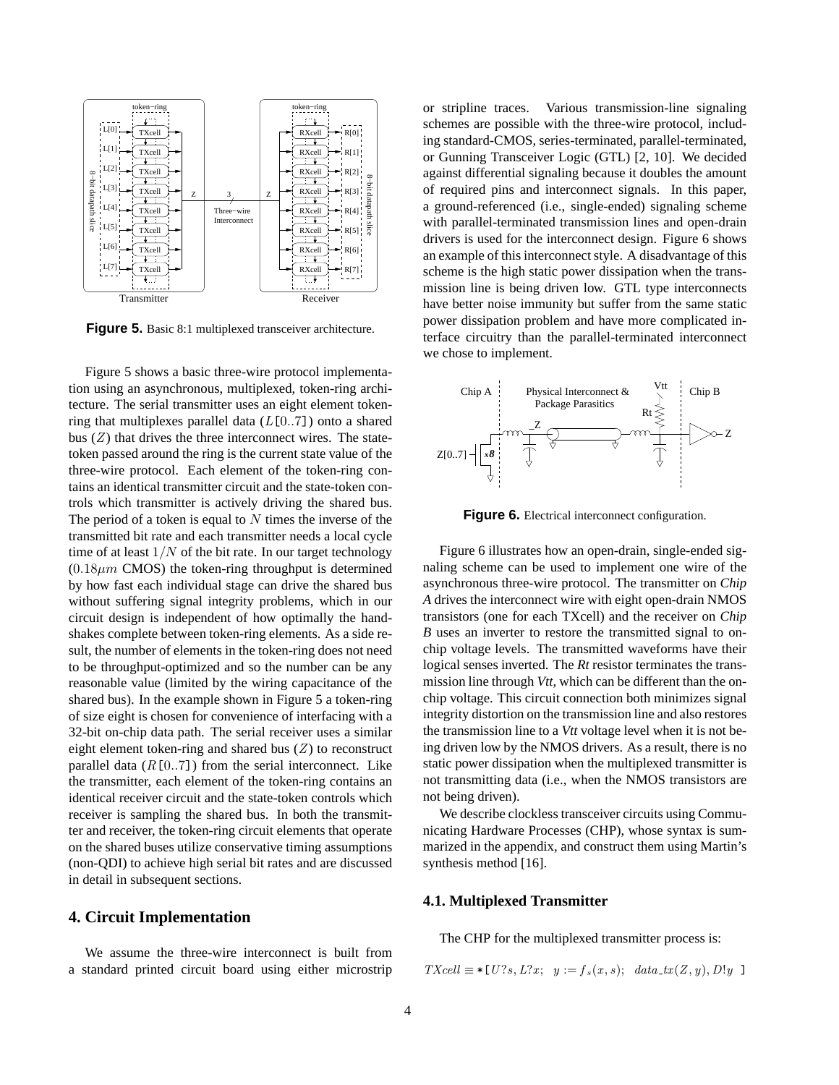

**Figure 5.** Basic 8:1 multiplexed transceiver architecture.

Figure 5 shows a basic three-wire protocol implementation using an asynchronous, multiplexed, token-ring architecture. The serial transmitter uses an eight element tokenring that multiplexes parallel data  $(L[0..7])$  onto a shared bus  $(Z)$  that drives the three interconnect wires. The statetoken passed around the ring is the current state value of the three-wire protocol. Each element of the token-ring contains an identical transmitter circuit and the state-token controls which transmitter is actively driving the shared bus. The period of a token is equal to  $N$  times the inverse of the transmitted bit rate and each transmitter needs a local cycle time of at least  $1/N$  of the bit rate. In our target technology  $(0.18 \mu m \text{ CMOS})$  the token-ring throughput is determined by how fast each individual stage can drive the shared bus without suffering signal integrity problems, which in our circuit design is independent of how optimally the handshakes complete between token-ring elements. As a side result, the number of elements in the token-ring does not need to be throughput-optimized and so the number can be any reasonable value (limited by the wiring capacitance of the shared bus). In the example shown in Figure 5 a token-ring of size eight is chosen for convenience of interfacing with a 32-bit on-chip data path. The serial receiver uses a similar eight element token-ring and shared bus  $(Z)$  to reconstruct parallel data  $(R[0..7])$  from the serial interconnect. Like the transmitter, each element of the token-ring contains an identical receiver circuit and the state-token controls which receiver is sampling the shared bus. In both the transmitter and receiver, the token-ring circuit elements that operate on the shared buses utilize conservative timing assumptions (non-QDI) to achieve high serial bit rates and are discussed in detail in subsequent sections.

#### **4. Circuit Implementation**

We assume the three-wire interconnect is built from a standard printed circuit board using either microstrip or stripline traces. Various transmission-line signaling schemes are possible with the three-wire protocol, including standard-CMOS, series-terminated, parallel-terminated, or Gunning Transceiver Logic (GTL) [2, 10]. We decided against differential signaling because it doubles the amount of required pins and interconnect signals. In this paper, a ground-referenced (i.e., single-ended) signaling scheme with parallel-terminated transmission lines and open-drain drivers is used for the interconnect design. Figure 6 shows an example of this interconnect style. A disadvantage of this scheme is the high static power dissipation when the transmission line is being driven low. GTL type interconnects have better noise immunity but suffer from the same static power dissipation problem and have more complicated interface circuitry than the parallel-terminated interconnect we chose to implement.



Figure 6. Electrical interconnect configuration.

Figure 6 illustrates how an open-drain, single-ended signaling scheme can be used to implement one wire of the asynchronous three-wire protocol. The transmitter on *Chip A* drives the interconnect wire with eight open-drain NMOS transistors (one for each TXcell) and the receiver on *Chip B* uses an inverter to restore the transmitted signal to onchip voltage levels. The transmitted waveforms have their logical senses inverted. The *Rt* resistor terminates the transmission line through *Vtt*, which can be different than the onchip voltage. This circuit connection both minimizes signal integrity distortion on the transmission line and also restores the transmission line to a *Vtt* voltage level when it is not being driven low by the NMOS drivers. As a result, there is no static power dissipation when the multiplexed transmitter is not transmitting data (i.e., when the NMOS transistors are not being driven).

We describe clockless transceiver circuits using Communicating Hardware Processes (CHP), whose syntax is summarized in the appendix, and construct them using Martin's synthesis method [16].

#### **4.1. Multiplexed Transmitter**

The CHP for the multiplexed transmitter process is:

 $TXcell \equiv *[U?s, L?x; y := f_s(x, s); data_tx(Z, y), D!y]$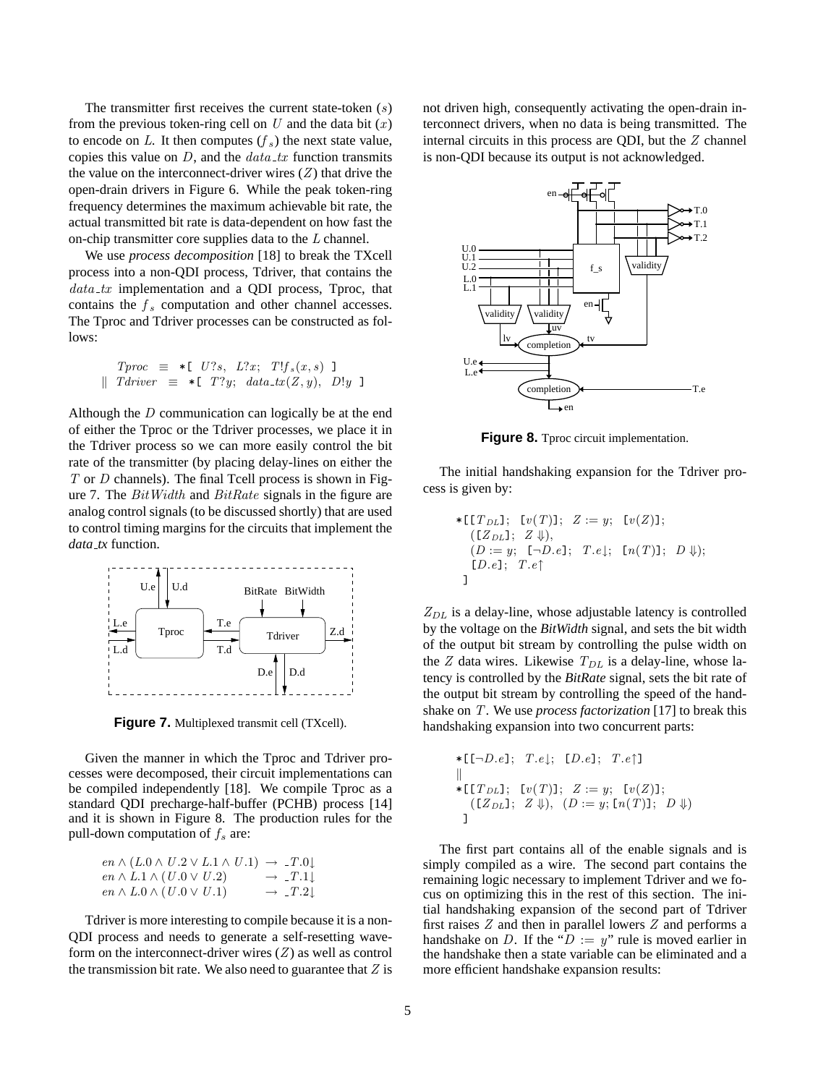The transmitter first receives the current state-token  $(s)$ from the previous token-ring cell on  $U$  and the data bit  $(x)$ to encode on L. It then computes  $(f_s)$  the next state value, copies this value on  $D$ , and the  $data\_tx$  function transmits the value on the interconnect-driver wires  $(Z)$  that drive the open-drain drivers in Figure 6. While the peak token-ring frequency determines the maximum achievable bit rate, the actual transmitted bit rate is data-dependent on how fast the on-chip transmitter core supplies data to the L channel.

We use *process decomposition* [18] to break the TXcell process into a non-QDI process, Tdriver, that contains the  $data\_tx$  implementation and a QDI process, Tproc, that contains the  $f_s$  computation and other channel accesses. The Tproc and Tdriver processes can be constructed as follows:

$$
Tproc \equiv *[ U?s, L?x; T!f_s(x, s) ]
$$
  
|| Tdriver \equiv \*[ T?y; data\_tx(Z, y), D!y ]

Although the D communication can logically be at the end of either the Tproc or the Tdriver processes, we place it in the Tdriver process so we can more easily control the bit rate of the transmitter (by placing delay-lines on either the  $T$  or  $D$  channels). The final Tcell process is shown in Figure 7. The  $BitWidth$  and  $BitRate$  signals in the figure are analog control signals (to be discussed shortly) that are used to control timing margins for the circuits that implement the *data tx* function.



**Figure 7.** Multiplexed transmit cell (TXcell).

Given the manner in which the Tproc and Tdriver processes were decomposed, their circuit implementations can be compiled independently [18]. We compile Tproc as a standard QDI precharge-half-buffer (PCHB) process [14] and it is shown in Figure 8. The production rules for the pull-down computation of  $f_s$  are:

$$
en \wedge (L \cdot 0 \wedge U \cdot 2 \vee L \cdot 1 \wedge U \cdot 1) \rightarrow \_T \cdot 0
$$
  
\n
$$
en \wedge L \cdot 1 \wedge (U \cdot 0 \vee U \cdot 2) \rightarrow \_T \cdot 1
$$
  
\n
$$
en \wedge L \cdot 0 \wedge (U \cdot 0 \vee U \cdot 1) \rightarrow \_T \cdot 2
$$

Tdriver is more interesting to compile because it is a non-QDI process and needs to generate a self-resetting waveform on the interconnect-driver wires  $(Z)$  as well as control the transmission bit rate. We also need to guarantee that  $Z$  is not driven high, consequently activating the open-drain interconnect drivers, when no data is being transmitted. The internal circuits in this process are QDI, but the  $Z$  channel is non-QDI because its output is not acknowledged.



**Figure 8.** Tproc circuit implementation.

The initial handshaking expansion for the Tdriver process is given by:

\*
$$
[T_{DL}]; [v(T)]; Z := y; [v(Z)],([Z_{DL}]; Z \Downarrow),(D := y; [-D.e]; T.e]; [n(T)]; D \Downarrow);[D.e]; T.e†
$$

 $Z_{DL}$  is a delay-line, whose adjustable latency is controlled by the voltage on the *BitWidth* signal, and sets the bit width of the output bit stream by controlling the pulse width on the Z data wires. Likewise  $T_{DL}$  is a delay-line, whose latency is controlled by the *BitRate* signal, sets the bit rate of the output bit stream by controlling the speed of the handshake on T. We use *process factorization* [17] to break this handshaking expansion into two concurrent parts:

\*[[
$$
\neg D.e]
$$
; T.e[; [D.e]; T.e[]  
 $\parallel$   
\*[[T<sub>DL</sub>]; [v(T)]; Z := y; [v(Z)];  
([Z<sub>DL</sub>]; Z  $\Downarrow$ ), (D := y; [n(T)]; D  $\Downarrow$ )  
1

The first part contains all of the enable signals and is simply compiled as a wire. The second part contains the remaining logic necessary to implement Tdriver and we focus on optimizing this in the rest of this section. The initial handshaking expansion of the second part of Tdriver first raises  $Z$  and then in parallel lowers  $Z$  and performs a handshake on D. If the " $D := y$ " rule is moved earlier in the handshake then a state variable can be eliminated and a more efficient handshake expansion results: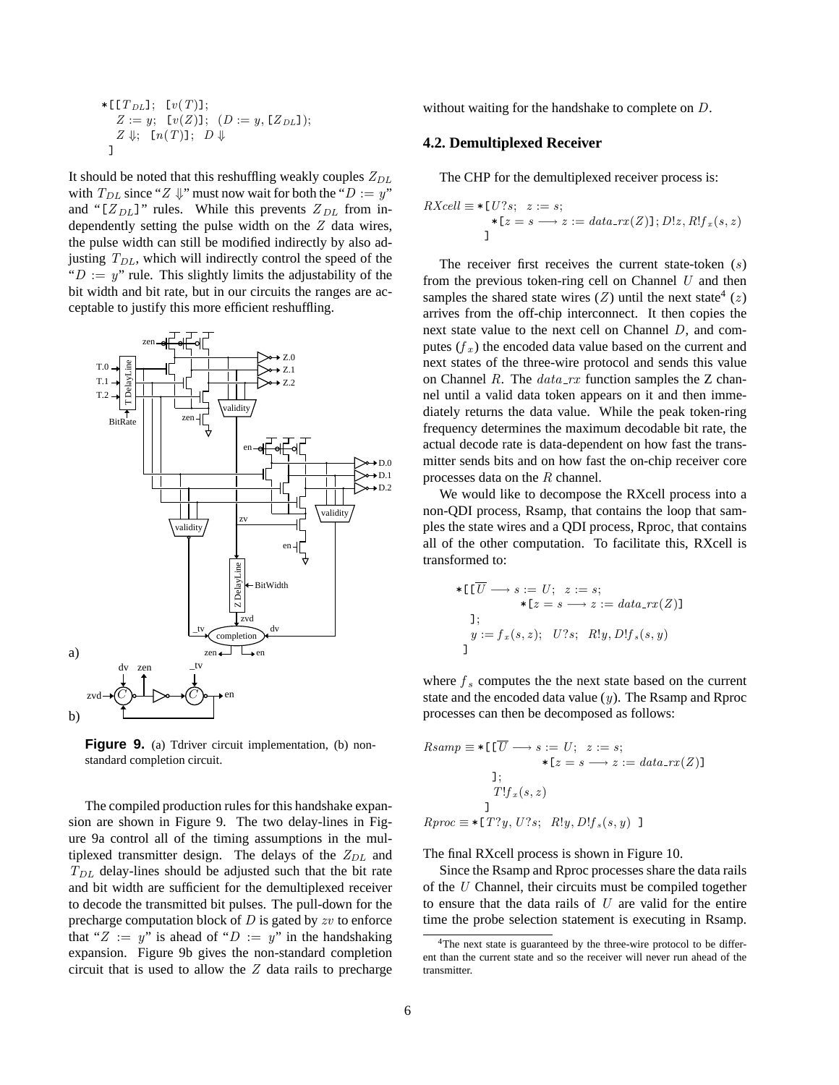\*
$$
\begin{array}{ll}\n\ast \left[\Gamma T_{DL}\right]; & [v(T)]\,; \\
Z := y; & [v(Z)]\,; & (D := y, [Z_{DL}])\,; \\
Z \Downarrow; & [n(T)]\,; & D \Downarrow\n\end{array}
$$

It should be noted that this reshuffling weakly couples  $Z_{DL}$ with  $T_{DL}$  since "Z  $\Downarrow$ " must now wait for both the "D := y" and "[ $Z_{DL}$ ]" rules. While this prevents  $Z_{DL}$  from independently setting the pulse width on the  $Z$  data wires, the pulse width can still be modified indirectly by also adjusting  $T_{DL}$ , which will indirectly control the speed of the " $D := y$ " rule. This slightly limits the adjustability of the bit width and bit rate, but in our circuits the ranges are acceptable to justify this more efficient reshuffling.



**Figure 9.** (a) Tdriver circuit implementation, (b) nonstandard completion circuit.

The compiled production rules for this handshake expansion are shown in Figure 9. The two delay-lines in Figure 9a control all of the timing assumptions in the multiplexed transmitter design. The delays of the  $Z_{DL}$  and  $T_{DL}$  delay-lines should be adjusted such that the bit rate and bit width are sufficient for the demultiplexed receiver to decode the transmitted bit pulses. The pull-down for the precharge computation block of  $D$  is gated by  $zv$  to enforce that " $Z := y$ " is ahead of " $D := y$ " in the handshaking expansion. Figure 9b gives the non-standard completion circuit that is used to allow the  $Z$  data rails to precharge without waiting for the handshake to complete on D.

## **4.2. Demultiplexed Receiver**

The CHP for the demultiplexed receiver process is:

$$
RXcell \equiv *[U?s; z := s; *[z = s \longrightarrow z := data\_rx(Z)]; D!z, R!f_x(s, z)
$$

The receiver first receives the current state-token  $(s)$ from the previous token-ring cell on Channel  $U$  and then samples the shared state wires  $(Z)$  until the next state<sup>4</sup>  $(z)$ arrives from the off-chip interconnect. It then copies the next state value to the next cell on Channel D, and computes  $(f_x)$  the encoded data value based on the current and next states of the three-wire protocol and sends this value on Channel R. The  $data\_rx$  function samples the Z channel until a valid data token appears on it and then immediately returns the data value. While the peak token-ring frequency determines the maximum decodable bit rate, the actual decode rate is data-dependent on how fast the transmitter sends bits and on how fast the on-chip receiver core processes data on the R channel.

We would like to decompose the RXcell process into a non-QDI process, Rsamp, that contains the loop that samples the state wires and a QDI process, Rproc, that contains all of the other computation. To facilitate this, RXcell is transformed to:

$$
\begin{aligned}\n\ast \left[ \left( \overline{U} \longrightarrow s := U; \ z := s; \right. \\
\ast \left[ z = s \longrightarrow z := data\_rx(Z) \right] \right. \\
1; \\
y := f_x(s, z); \ U?s; \ R!y, D!f_s(s, y)\n\end{aligned}
$$

where  $f_s$  computes the the next state based on the current state and the encoded data value  $(y)$ . The Rsamp and Rproc processes can then be decomposed as follows:

$$
R\text{ samp} \equiv *[\overline{U} \longrightarrow s := U; \ z := s;\ast[z = s \longrightarrow z := data\_rx(Z)]\n1;\nT!f_x(s, z)\n1\nRproc \equiv *[\overline{T?y}, U?s; R!y, D!f_s(s, y)]
$$

The final RXcell process is shown in Figure 10.

Since the Rsamp and Rproc processes share the data rails of the U Channel, their circuits must be compiled together to ensure that the data rails of  $U$  are valid for the entire time the probe selection statement is executing in Rsamp.

<sup>&</sup>lt;sup>4</sup>The next state is guaranteed by the three-wire protocol to be different than the current state and so the receiver will never run ahead of the transmitter.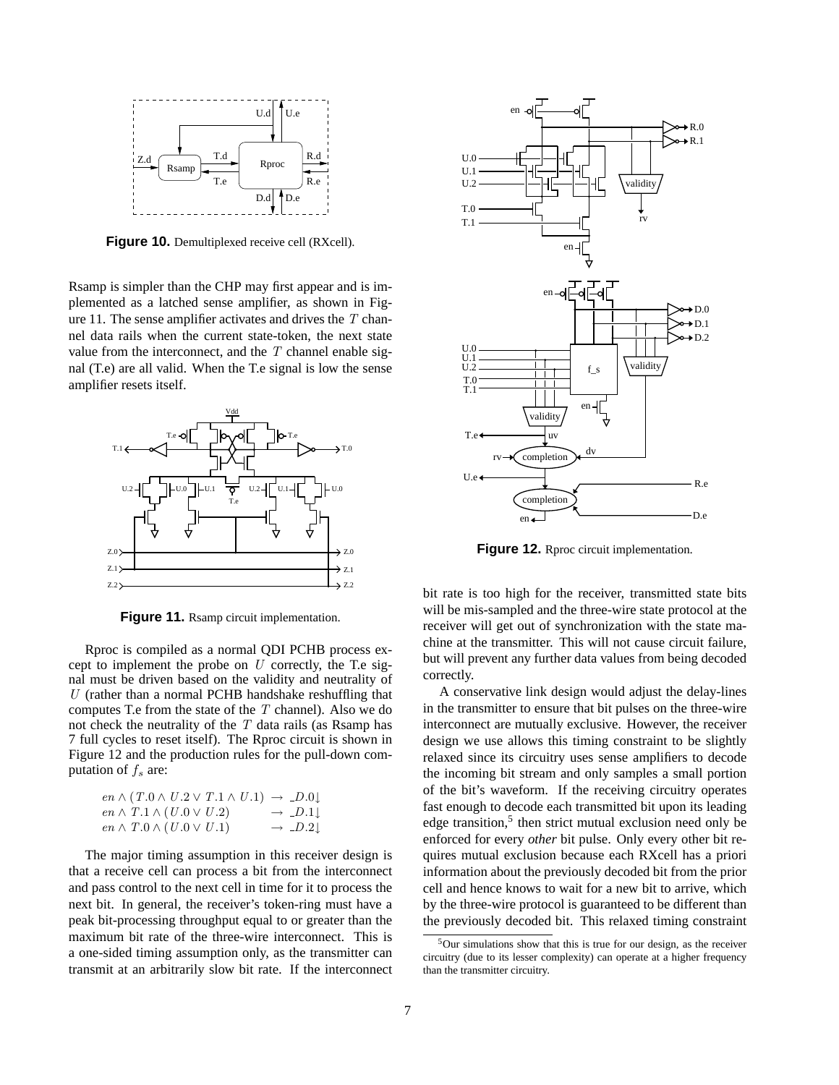

**Figure 10.** Demultiplexed receive cell (RXcell).

Rsamp is simpler than the CHP may first appear and is implemented as a latched sense amplifier, as shown in Figure 11. The sense amplifier activates and drives the T channel data rails when the current state-token, the next state value from the interconnect, and the  $T$  channel enable signal (T.e) are all valid. When the T.e signal is low the sense amplifier resets itself.



**Figure 11.** Rsamp circuit implementation.

Rproc is compiled as a normal QDI PCHB process except to implement the probe on  $U$  correctly, the T.e signal must be driven based on the validity and neutrality of  $U$  (rather than a normal PCHB handshake reshuffling that computes T.e from the state of the T channel). Also we do not check the neutrality of the  $T$  data rails (as Rsamp has 7 full cycles to reset itself). The Rproc circuit is shown in Figure 12 and the production rules for the pull-down computation of  $f_s$  are:

| $en \wedge (T.0 \wedge U.2 \vee T.1 \wedge U.1) \rightarrow \Box D.0 \downarrow$ |                      |
|----------------------------------------------------------------------------------|----------------------|
| $en \wedge T.1 \wedge (U.0 \vee U.2)$                                            | $\rightarrow$ $-D.1$ |
| $en \wedge T.0 \wedge (U.0 \vee U.1)$                                            | $\rightarrow$ D.2    |

The major timing assumption in this receiver design is that a receive cell can process a bit from the interconnect and pass control to the next cell in time for it to process the next bit. In general, the receiver's token-ring must have a peak bit-processing throughput equal to or greater than the maximum bit rate of the three-wire interconnect. This is a one-sided timing assumption only, as the transmitter can transmit at an arbitrarily slow bit rate. If the interconnect



**Figure 12.** Rproc circuit implementation.

bit rate is too high for the receiver, transmitted state bits will be mis-sampled and the three-wire state protocol at the receiver will get out of synchronization with the state machine at the transmitter. This will not cause circuit failure, but will prevent any further data values from being decoded correctly.

A conservative link design would adjust the delay-lines in the transmitter to ensure that bit pulses on the three-wire interconnect are mutually exclusive. However, the receiver design we use allows this timing constraint to be slightly relaxed since its circuitry uses sense amplifiers to decode the incoming bit stream and only samples a small portion of the bit's waveform. If the receiving circuitry operates fast enough to decode each transmitted bit upon its leading edge transition,<sup>5</sup> then strict mutual exclusion need only be enforced for every *other* bit pulse. Only every other bit requires mutual exclusion because each RXcell has a priori information about the previously decoded bit from the prior cell and hence knows to wait for a new bit to arrive, which by the three-wire protocol is guaranteed to be different than the previously decoded bit. This relaxed timing constraint

 $5$ Our simulations show that this is true for our design, as the receiver circuitry (due to its lesser complexity) can operate at a higher frequency than the transmitter circuitry.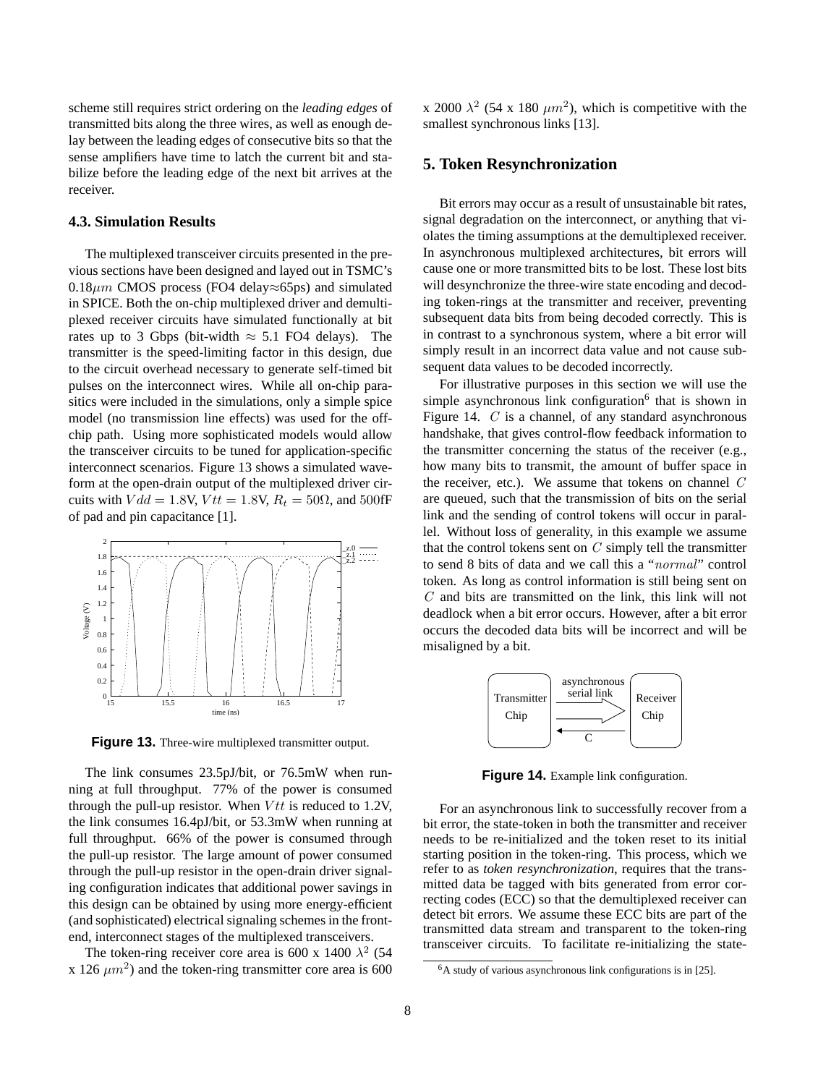scheme still requires strict ordering on the *leading edges* of transmitted bits along the three wires, as well as enough delay between the leading edges of consecutive bits so that the sense amplifiers have time to latch the current bit and stabilize before the leading edge of the next bit arrives at the receiver.

#### **4.3. Simulation Results**

The multiplexed transceiver circuits presented in the previous sections have been designed and layed out in TSMC's  $0.18 \mu m$  CMOS process (FO4 delay≈65ps) and simulated in SPICE. Both the on-chip multiplexed driver and demultiplexed receiver circuits have simulated functionally at bit rates up to 3 Gbps (bit-width  $\approx$  5.1 FO4 delays). The transmitter is the speed-limiting factor in this design, due to the circuit overhead necessary to generate self-timed bit pulses on the interconnect wires. While all on-chip parasitics were included in the simulations, only a simple spice model (no transmission line effects) was used for the offchip path. Using more sophisticated models would allow the transceiver circuits to be tuned for application-specific interconnect scenarios. Figure 13 shows a simulated waveform at the open-drain output of the multiplexed driver circuits with  $Vdd = 1.8V$ ,  $Vtt = 1.8V$ ,  $R_t = 50\Omega$ , and 500fF of pad and pin capacitance [1].



Figure 13. Three-wire multiplexed transmitter output.

The link consumes 23.5pJ/bit, or 76.5mW when running at full throughput. 77% of the power is consumed through the pull-up resistor. When  $V t t$  is reduced to 1.2V, the link consumes 16.4pJ/bit, or 53.3mW when running at full throughput. 66% of the power is consumed through the pull-up resistor. The large amount of power consumed through the pull-up resistor in the open-drain driver signaling configuration indicates that additional power savings in this design can be obtained by using more energy-efficient (and sophisticated) electrical signaling schemes in the frontend, interconnect stages of the multiplexed transceivers.

The token-ring receiver core area is 600 x 1400  $\lambda^2$  (54) x 126  $\mu$ m<sup>2</sup>) and the token-ring transmitter core area is 600

x 2000  $\lambda^2$  (54 x 180  $\mu$ m<sup>2</sup>), which is competitive with the smallest synchronous links [13].

## **5. Token Resynchronization**

Bit errors may occur as a result of unsustainable bit rates, signal degradation on the interconnect, or anything that violates the timing assumptions at the demultiplexed receiver. In asynchronous multiplexed architectures, bit errors will cause one or more transmitted bits to be lost. These lost bits will desynchronize the three-wire state encoding and decoding token-rings at the transmitter and receiver, preventing subsequent data bits from being decoded correctly. This is in contrast to a synchronous system, where a bit error will simply result in an incorrect data value and not cause subsequent data values to be decoded incorrectly.

For illustrative purposes in this section we will use the simple asynchronous link configuration<sup>6</sup> that is shown in Figure 14. C is a channel, of any standard asynchronous handshake, that gives control-flow feedback information to the transmitter concerning the status of the receiver (e.g., how many bits to transmit, the amount of buffer space in the receiver, etc.). We assume that tokens on channel  $C$ are queued, such that the transmission of bits on the serial link and the sending of control tokens will occur in parallel. Without loss of generality, in this example we assume that the control tokens sent on  $C$  simply tell the transmitter to send 8 bits of data and we call this a "normal" control token. As long as control information is still being sent on  $C$  and bits are transmitted on the link, this link will not deadlock when a bit error occurs. However, after a bit error occurs the decoded data bits will be incorrect and will be misaligned by a bit.



Figure 14. Example link configuration.

For an asynchronous link to successfully recover from a bit error, the state-token in both the transmitter and receiver needs to be re-initialized and the token reset to its initial starting position in the token-ring. This process, which we refer to as *token resynchronization*, requires that the transmitted data be tagged with bits generated from error correcting codes (ECC) so that the demultiplexed receiver can detect bit errors. We assume these ECC bits are part of the transmitted data stream and transparent to the token-ring transceiver circuits. To facilitate re-initializing the state-

<sup>6</sup>A study of various asynchronous link configurations is in [25].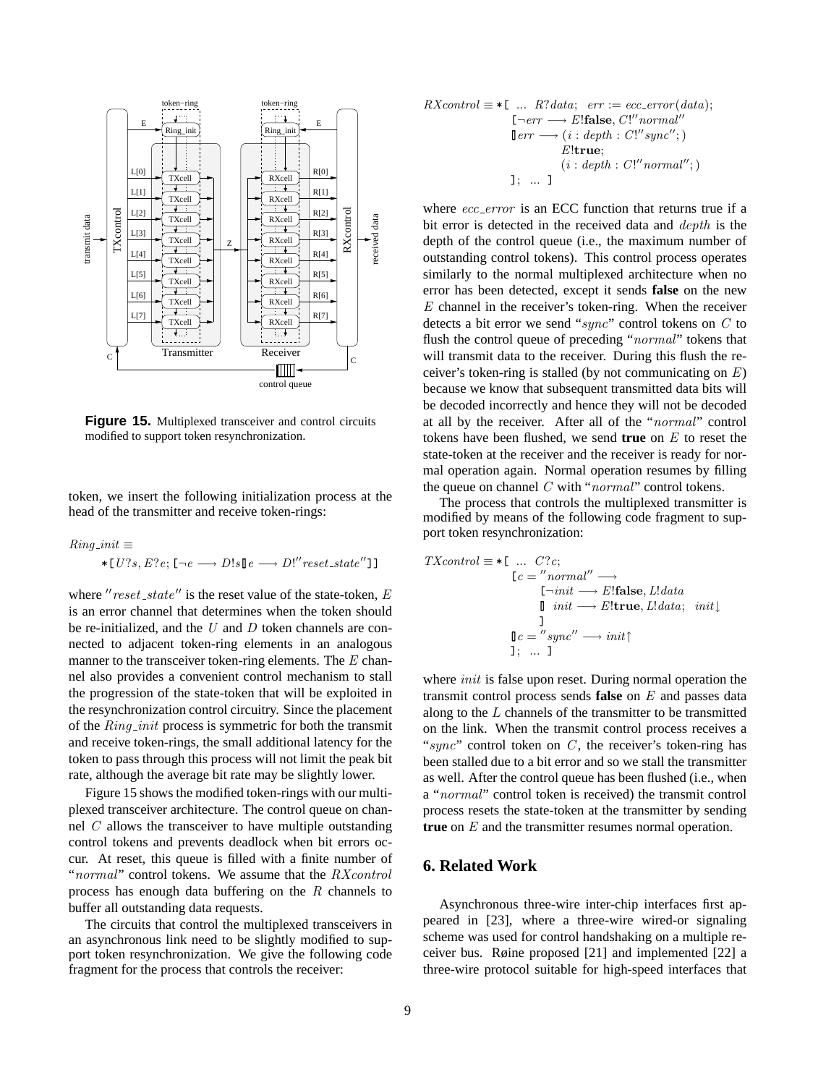

Figure 15. Multiplexed transceiver and control circuits modified to support token resynchronization.

token, we insert the following initialization process at the head of the transmitter and receive token-rings:

Ringinit =  
\n
$$
\ast [U?s, E?e; [-e \longrightarrow D]s[]e \longrightarrow D]''reset\_state'']
$$

where "reset\_state" is the reset value of the state-token,  $E$ is an error channel that determines when the token should be re-initialized, and the  $U$  and  $D$  token channels are connected to adjacent token-ring elements in an analogous manner to the transceiver token-ring elements. The  $E$  channel also provides a convenient control mechanism to stall the progression of the state-token that will be exploited in the resynchronization control circuitry. Since the placement of the Ring init process is symmetric for both the transmit and receive token-rings, the small additional latency for the token to pass through this process will not limit the peak bit rate, although the average bit rate may be slightly lower.

Figure 15 shows the modified token-rings with our multiplexed transceiver architecture. The control queue on channel C allows the transceiver to have multiple outstanding control tokens and prevents deadlock when bit errors occur. At reset, this queue is filled with a finite number of "normal" control tokens. We assume that the RXcontrol process has enough data buffering on the  $R$  channels to buffer all outstanding data requests.

The circuits that control the multiplexed transceivers in an asynchronous link need to be slightly modified to support token resynchronization. We give the following code fragment for the process that controls the receiver:

$$
RXcontrol \equiv *[ \dots R?data; err := ecc_error(data);
$$
  
\n
$$
[\neg err \longrightarrow E! \text{false}, C!' normal''
$$
  
\n
$$
I \equiv \text{error} \longrightarrow (i : depth : C!'sync";
$$
  
\n
$$
E! \text{true};
$$
  
\n
$$
(i : depth : C!' normal"; )
$$
  
\n
$$
1: ... 1
$$

where *ecc\_error* is an ECC function that returns true if a bit error is detected in the received data and depth is the depth of the control queue (i.e., the maximum number of outstanding control tokens). This control process operates similarly to the normal multiplexed architecture when no error has been detected, except it sends **false** on the new E channel in the receiver's token-ring. When the receiver detects a bit error we send " $sync$ " control tokens on  $C$  to flush the control queue of preceding "normal" tokens that will transmit data to the receiver. During this flush the receiver's token-ring is stalled (by not communicating on  $E$ ) because we know that subsequent transmitted data bits will be decoded incorrectly and hence they will not be decoded at all by the receiver. After all of the "normal" control tokens have been flushed, we send **true** on E to reset the state-token at the receiver and the receiver is ready for normal operation again. Normal operation resumes by filling the queue on channel C with "normal" control tokens.

The process that controls the multiplexed transmitter is modified by means of the following code fragment to support token resynchronization:

$$
TXcontrol \equiv *[\begin{array}{l} ... & C?c; \\ [c = "normal" \longrightarrow \\ [-init \longrightarrow E! \mathbf{false}, L! data \\ \mathbb{I} \quad init \longrightarrow E! \mathbf{true}, L! data; \quad init \downarrow \end{array}]
$$

$$
\mathbb{I}c = \begin{array}{l} ... \\ [c] \quad \text{where} \\ [d] \quad \text{in} \\ [d] \quad \text{in} \\ [d] \quad \text{in} \\ [d] \quad \text{in} \\ [d] \quad \text{in} \\ [d] \quad \text{in} \\ [d] \quad \text{in} \\ [d] \quad \text{in} \\ [d] \quad \text{in} \\ [d] \quad \text{in} \\ [d] \quad \text{in} \\ [d] \quad \text{in} \\ [d] \quad \text{in} \\ [d] \quad \text{in} \\ [d] \quad \text{in} \\ [d] \quad \text{in} \\ [d] \quad \text{in} \\ [d] \quad \text{in} \\ [d] \quad \text{in} \\ [d] \quad \text{in} \\ [d] \quad \text{in} \\ [d] \quad \text{in} \\ [d] \quad \text{in} \\ [d] \quad \text{in} \\ [d] \quad \text{in} \\ [d] \quad \text{in} \\ [d] \quad \text{in} \\ [d] \quad \text{in} \\ [d] \quad \text{in} \\ [d] \quad \text{in} \\ [d] \quad \text{in} \\ [d] \quad \text{in} \\ [d] \quad \text{in} \\ [d] \quad \text{in} \\ [d] \quad \text{in} \\ [d] \quad \text{in} \\ [d] \quad \text{in} \\ [d] \quad \text{in} \\ [d] \quad \text{in} \\ [d] \quad \text{in} \\ [d] \quad \text{in} \\ [d] \quad \text{in} \\ [d] \quad \text{in} \\ [d] \quad \text{in} \\ [d] \quad \text{in} \\ [d] \quad \text{in} \\ [d] \quad \text{in} \\ [d] \quad \text{in} \\ [d] \quad \text{in} \\ [d] \quad \text{in} \\ [d] \quad \text{in} \\ [d] \quad \text{in} \\ [d] \quad \text{in} \\ [d] \quad \text{in} \\ [d] \quad \text{in} \\ [d] \quad \text{in} \\ [d] \quad \text{in} \\ [d] \quad \text{in} \\ [d] \quad \text{
$$

where *init* is false upon reset. During normal operation the transmit control process sends **false** on E and passes data along to the  $L$  channels of the transmitter to be transmitted on the link. When the transmit control process receives a "sync" control token on  $C$ , the receiver's token-ring has been stalled due to a bit error and so we stall the transmitter as well. After the control queue has been flushed (i.e., when a "normal" control token is received) the transmit control process resets the state-token at the transmitter by sending **true** on E and the transmitter resumes normal operation.

# **6. Related Work**

Asynchronous three-wire inter-chip interfaces first appeared in [23], where a three-wire wired-or signaling scheme was used for control handshaking on a multiple receiver bus. Røine proposed [21] and implemented [22] a three-wire protocol suitable for high-speed interfaces that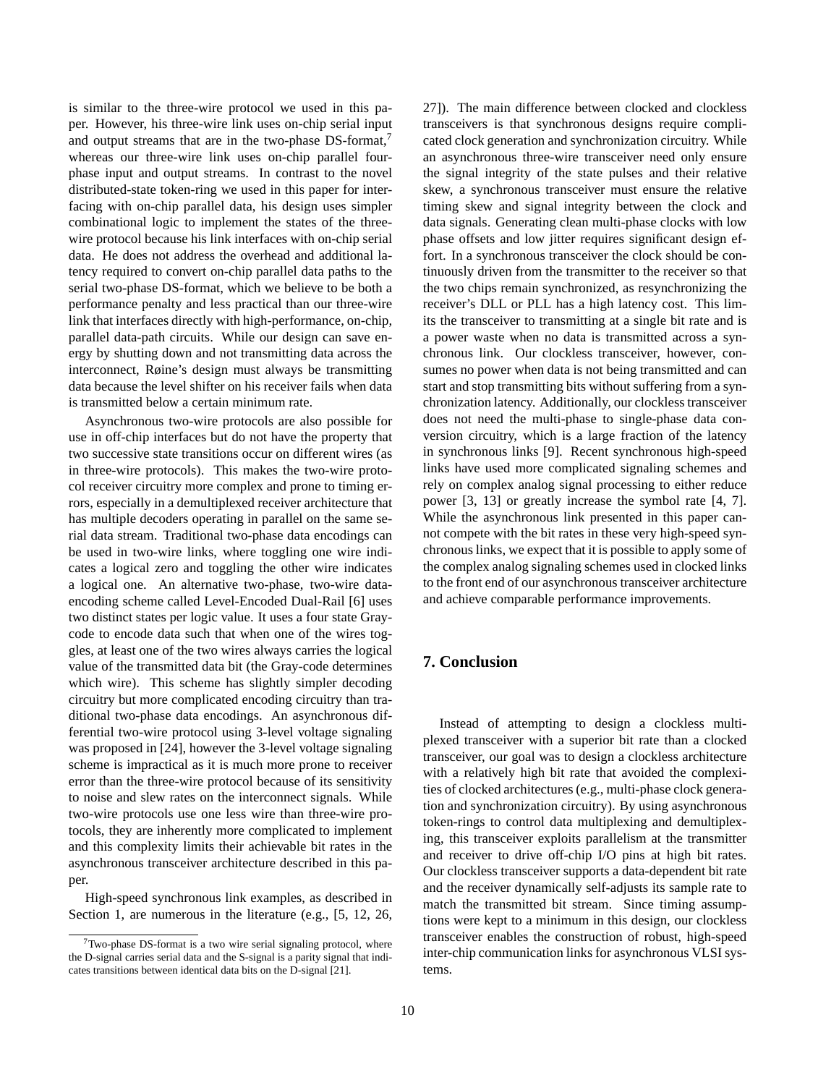is similar to the three-wire protocol we used in this paper. However, his three-wire link uses on-chip serial input and output streams that are in the two-phase DS-format,<sup>7</sup> whereas our three-wire link uses on-chip parallel fourphase input and output streams. In contrast to the novel distributed-state token-ring we used in this paper for interfacing with on-chip parallel data, his design uses simpler combinational logic to implement the states of the threewire protocol because his link interfaces with on-chip serial data. He does not address the overhead and additional latency required to convert on-chip parallel data paths to the serial two-phase DS-format, which we believe to be both a performance penalty and less practical than our three-wire link that interfaces directly with high-performance, on-chip, parallel data-path circuits. While our design can save energy by shutting down and not transmitting data across the interconnect, Røine's design must always be transmitting data because the level shifter on his receiver fails when data is transmitted below a certain minimum rate.

Asynchronous two-wire protocols are also possible for use in off-chip interfaces but do not have the property that two successive state transitions occur on different wires (as in three-wire protocols). This makes the two-wire protocol receiver circuitry more complex and prone to timing errors, especially in a demultiplexed receiver architecture that has multiple decoders operating in parallel on the same serial data stream. Traditional two-phase data encodings can be used in two-wire links, where toggling one wire indicates a logical zero and toggling the other wire indicates a logical one. An alternative two-phase, two-wire dataencoding scheme called Level-Encoded Dual-Rail [6] uses two distinct states per logic value. It uses a four state Graycode to encode data such that when one of the wires toggles, at least one of the two wires always carries the logical value of the transmitted data bit (the Gray-code determines which wire). This scheme has slightly simpler decoding circuitry but more complicated encoding circuitry than traditional two-phase data encodings. An asynchronous differential two-wire protocol using 3-level voltage signaling was proposed in [24], however the 3-level voltage signaling scheme is impractical as it is much more prone to receiver error than the three-wire protocol because of its sensitivity to noise and slew rates on the interconnect signals. While two-wire protocols use one less wire than three-wire protocols, they are inherently more complicated to implement and this complexity limits their achievable bit rates in the asynchronous transceiver architecture described in this paper.

High-speed synchronous link examples, as described in Section 1, are numerous in the literature (e.g., [5, 12, 26,

27]). The main difference between clocked and clockless transceivers is that synchronous designs require complicated clock generation and synchronization circuitry. While an asynchronous three-wire transceiver need only ensure the signal integrity of the state pulses and their relative skew, a synchronous transceiver must ensure the relative timing skew and signal integrity between the clock and data signals. Generating clean multi-phase clocks with low phase offsets and low jitter requires significant design effort. In a synchronous transceiver the clock should be continuously driven from the transmitter to the receiver so that the two chips remain synchronized, as resynchronizing the receiver's DLL or PLL has a high latency cost. This limits the transceiver to transmitting at a single bit rate and is a power waste when no data is transmitted across a synchronous link. Our clockless transceiver, however, consumes no power when data is not being transmitted and can start and stop transmitting bits without suffering from a synchronization latency. Additionally, our clockless transceiver does not need the multi-phase to single-phase data conversion circuitry, which is a large fraction of the latency in synchronous links [9]. Recent synchronous high-speed links have used more complicated signaling schemes and rely on complex analog signal processing to either reduce power [3, 13] or greatly increase the symbol rate [4, 7]. While the asynchronous link presented in this paper cannot compete with the bit rates in these very high-speed synchronous links, we expect that it is possible to apply some of the complex analog signaling schemes used in clocked links to the front end of our asynchronous transceiver architecture and achieve comparable performance improvements.

# **7. Conclusion**

Instead of attempting to design a clockless multiplexed transceiver with a superior bit rate than a clocked transceiver, our goal was to design a clockless architecture with a relatively high bit rate that avoided the complexities of clocked architectures (e.g., multi-phase clock generation and synchronization circuitry). By using asynchronous token-rings to control data multiplexing and demultiplexing, this transceiver exploits parallelism at the transmitter and receiver to drive off-chip I/O pins at high bit rates. Our clockless transceiver supports a data-dependent bit rate and the receiver dynamically self-adjusts its sample rate to match the transmitted bit stream. Since timing assumptions were kept to a minimum in this design, our clockless transceiver enables the construction of robust, high-speed inter-chip communication links for asynchronous VLSI systems.

 $7$ Two-phase DS-format is a two wire serial signaling protocol, where the D-signal carries serial data and the S-signal is a parity signal that indicates transitions between identical data bits on the D-signal [21].